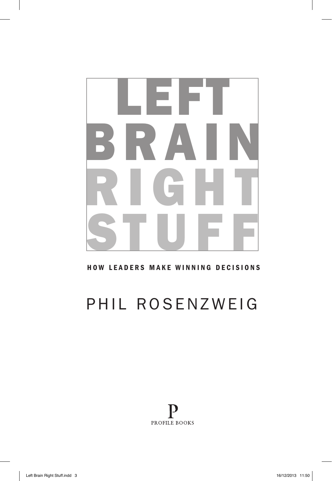

### **HOW LEADERS MAKE WINNING DECISIONS**

# Phil Rosenzweig



 $\mathbf{I}$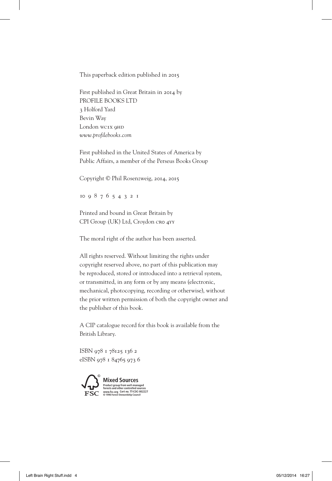This paperback edition published in 2015

First published in Great Britain in 2014 by PROFILE BOOKS LTD 3 Holford Yard Bevin Way London wc1x 9HD *www.profilebooks.com*

First published in the United States of America by Public Affairs, a member of the Perseus Books Group

Copyright © Phil Rosenzweig, 2014, 2015

10 9 8 7 6 5 4 3 2 1

Printed and bound in Great Britain by CPI Group (UK) Ltd, Croydon CRO 4YY

The moral right of the author has been asserted.

All rights reserved. Without limiting the rights under copyright reserved above, no part of this publication may be reproduced, stored or introduced into a retrieval system, or transmitted, in any form or by any means (electronic, mechanical, photocopying, recording or otherwise), without the prior written permission of both the copyright owner and the publisher of this book.

A CIP catalogue record for this book is available from the British Library.

ISBN 978 1 78125 136 2 eISBN 978 1 84765 973 6

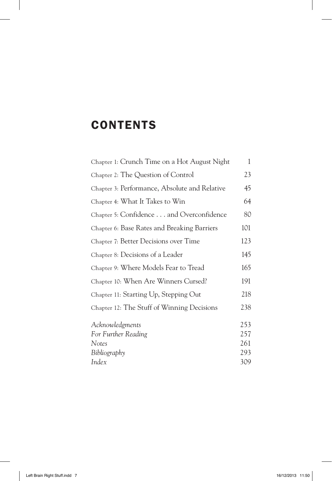### **CONTENTS**

 $\sim 1$ 

| Chapter 1: Crunch Time on a Hot August Night  | 1   |
|-----------------------------------------------|-----|
| Chapter 2: The Question of Control            | 23  |
| Chapter 3: Performance, Absolute and Relative | 45  |
| Chapter 4: What It Takes to Win               | 64  |
| Chapter 5: Confidence and Overconfidence      | 80  |
| Chapter 6: Base Rates and Breaking Barriers   | 101 |
| Chapter 7: Better Decisions over Time         | 123 |
| Chapter 8: Decisions of a Leader              | 145 |
| Chapter 9: Where Models Fear to Tread         | 165 |
| Chapter 10: When Are Winners Cursed?          | 191 |
| Chapter 11: Starting Up, Stepping Out         | 218 |
| Chapter 12: The Stuff of Winning Decisions    | 238 |
| Acknowledgments                               | 253 |
| For Further Reading                           | 257 |
| Notes                                         | 261 |
| Bibliography                                  | 293 |
| Index                                         | 309 |

L.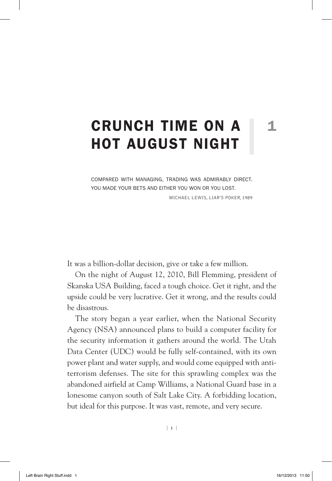## CRUNCH TIME ON A 1 Hot August Night

compared with managing, trading was admirably direct. you made your bets and either you won or you lost.

Michael lewis, liar's poker, 1989

It was a billion-dollar decision, give or take a few million.

On the night of August 12, 2010, Bill Flemming, president of Skanska USA Building, faced a tough choice. Get it right, and the upside could be very lucrative. Get it wrong, and the results could be disastrous.

The story began a year earlier, when the National Security Agency (NSA) announced plans to build a computer facility for the security information it gathers around the world. The Utah Data Center (UDC) would be fully self-contained, with its own power plant and water supply, and would come equipped with antiterrorism defenses. The site for this sprawling complex was the abandoned airfield at Camp Williams, a National Guard base in a lonesome canyon south of Salt Lake City. A forbidding location, but ideal for this purpose. It was vast, remote, and very secure.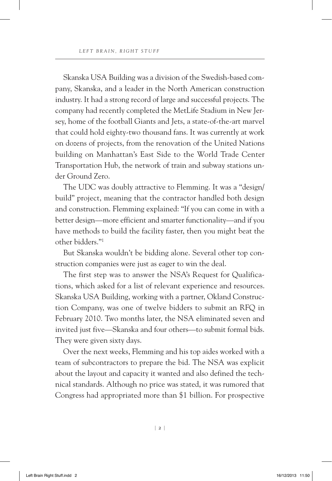Skanska USA Building was a division of the Swedish-based company, Skanska, and a leader in the North American construction industry. It had a strong record of large and successful projects. The company had recently completed the MetLife Stadium in New Jersey, home of the football Giants and Jets, a state-of-the-art marvel that could hold eighty-two thousand fans. It was currently at work on dozens of projects, from the renovation of the United Nations building on Manhattan's East Side to the World Trade Center Transportation Hub, the network of train and subway stations under Ground Zero.

The UDC was doubly attractive to Flemming. It was a "design/ build" project, meaning that the contractor handled both design and construction. Flemming explained: "If you can come in with a better design—more efficient and smarter functionality—and if you have methods to build the facility faster, then you might beat the other bidders."1

But Skanska wouldn't be bidding alone. Several other top construction companies were just as eager to win the deal.

The first step was to answer the NSA's Request for Qualifications, which asked for a list of relevant experience and resources. Skanska USA Building, working with a partner, Okland Construction Company, was one of twelve bidders to submit an RFQ in February 2010. Two months later, the NSA eliminated seven and invited just five—Skanska and four others—to submit formal bids. They were given sixty days.

Over the next weeks, Flemming and his top aides worked with a team of subcontractors to prepare the bid. The NSA was explicit about the layout and capacity it wanted and also defined the technical standards. Although no price was stated, it was rumored that Congress had appropriated more than \$1 billion. For prospective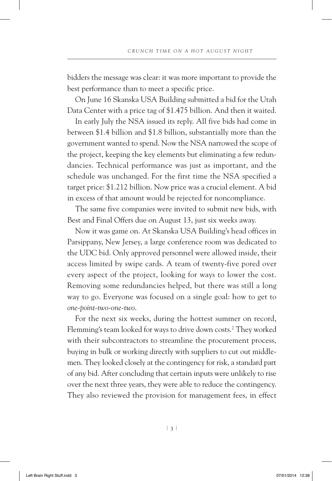bidders the message was clear: it was more important to provide the best performance than to meet a specific price.

On June 16 Skanska USA Building submitted a bid for the Utah Data Center with a price tag of \$1.475 billion. And then it waited.

In early July the NSA issued its reply. All five bids had come in between \$1.4 billion and \$1.8 billion, substantially more than the government wanted to spend. Now the NSA narrowed the scope of the project, keeping the key elements but eliminating a few redundancies. Technical performance was just as important, and the schedule was unchanged. For the first time the NSA specified a target price: \$1.212 billion. Now price was a crucial element. A bid in excess of that amount would be rejected for noncompliance.

The same five companies were invited to submit new bids, with Best and Final Offers due on August 13, just six weeks away.

Now it was game on. At Skanska USA Building's head offices in Parsippany, New Jersey, a large conference room was dedicated to the UDC bid. Only approved personnel were allowed inside, their access limited by swipe cards. A team of twenty-five pored over every aspect of the project, looking for ways to lower the cost. Removing some redundancies helped, but there was still a long way to go. Everyone was focused on a single goal: how to get to *one-point-two-one-two*.

For the next six weeks, during the hottest summer on record, Flemming's team looked for ways to drive down costs.<sup>2</sup> They worked with their subcontractors to streamline the procurement process, buying in bulk or working directly with suppliers to cut out middlemen. They looked closely at the contingency for risk, a standard part of any bid. After concluding that certain inputs were unlikely to rise over the next three years, they were able to reduce the contingency. They also reviewed the provision for management fees, in effect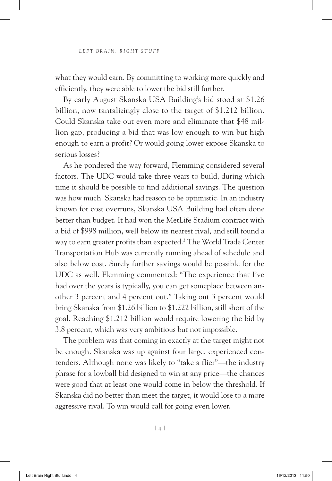what they would earn. By committing to working more quickly and efficiently, they were able to lower the bid still further.

By early August Skanska USA Building's bid stood at \$1.26 billion, now tantalizingly close to the target of \$1.212 billion. Could Skanska take out even more and eliminate that \$48 million gap, producing a bid that was low enough to win but high enough to earn a profit? Or would going lower expose Skanska to serious losses?

As he pondered the way forward, Flemming considered several factors. The UDC would take three years to build, during which time it should be possible to find additional savings. The question was how much. Skanska had reason to be optimistic. In an industry known for cost overruns, Skanska USA Building had often done better than budget. It had won the MetLife Stadium contract with a bid of \$998 million, well below its nearest rival, and still found a way to earn greater profits than expected.3 The World Trade Center Transportation Hub was currently running ahead of schedule and also below cost. Surely further savings would be possible for the UDC as well. Flemming commented: "The experience that I've had over the years is typically, you can get someplace between another 3 percent and 4 percent out." Taking out 3 percent would bring Skanska from \$1.26 billion to \$1.222 billion, still short of the goal. Reaching \$1.212 billion would require lowering the bid by 3.8 percent, which was very ambitious but not impossible.

The problem was that coming in exactly at the target might not be enough. Skanska was up against four large, experienced contenders. Although none was likely to "take a flier"—the industry phrase for a lowball bid designed to win at any price—the chances were good that at least one would come in below the threshold. If Skanska did no better than meet the target, it would lose to a more aggressive rival. To win would call for going even lower.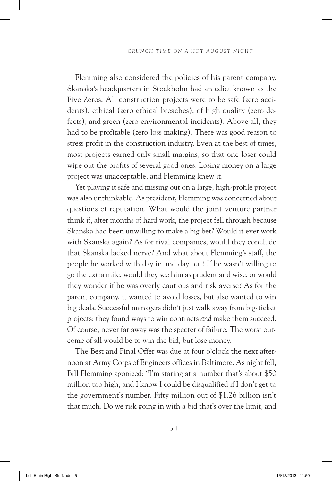Flemming also considered the policies of his parent company. Skanska's headquarters in Stockholm had an edict known as the Five Zeros. All construction projects were to be safe (zero accidents), ethical (zero ethical breaches), of high quality (zero defects), and green (zero environmental incidents). Above all, they had to be profitable (zero loss making). There was good reason to stress profit in the construction industry. Even at the best of times, most projects earned only small margins, so that one loser could wipe out the profits of several good ones. Losing money on a large project was unacceptable, and Flemming knew it.

Yet playing it safe and missing out on a large, high-profile project was also unthinkable. As president, Flemming was concerned about questions of reputation. What would the joint venture partner think if, after months of hard work, the project fell through because Skanska had been unwilling to make a big bet? Would it ever work with Skanska again? As for rival companies, would they conclude that Skanska lacked nerve? And what about Flemming's staff, the people he worked with day in and day out? If he wasn't willing to go the extra mile, would they see him as prudent and wise, or would they wonder if he was overly cautious and risk averse? As for the parent company, it wanted to avoid losses, but also wanted to win big deals. Successful managers didn't just walk away from big-ticket projects; they found ways to win contracts *and* make them succeed. Of course, never far away was the specter of failure. The worst outcome of all would be to win the bid, but lose money.

The Best and Final Offer was due at four o'clock the next afternoon at Army Corps of Engineers offices in Baltimore. As night fell, Bill Flemming agonized: "I'm staring at a number that's about \$50 million too high, and I know I could be disqualified if I don't get to the government's number. Fifty million out of \$1.26 billion isn't that much. Do we risk going in with a bid that's over the limit, and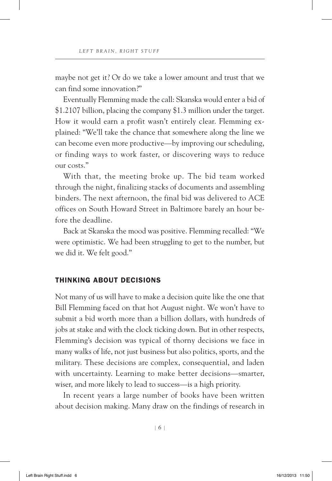maybe not get it? Or do we take a lower amount and trust that we can find some innovation?"

Eventually Flemming made the call: Skanska would enter a bid of \$1.2107 billion, placing the company \$1.3 million under the target. How it would earn a profit wasn't entirely clear. Flemming explained: "We'll take the chance that somewhere along the line we can become even more productive—by improving our scheduling, or finding ways to work faster, or discovering ways to reduce our costs."

With that, the meeting broke up. The bid team worked through the night, finalizing stacks of documents and assembling binders. The next afternoon, the final bid was delivered to ACE offices on South Howard Street in Baltimore barely an hour before the deadline.

Back at Skanska the mood was positive. Flemming recalled: "We were optimistic. We had been struggling to get to the number, but we did it. We felt good."

#### Thinking about Decisions

Not many of us will have to make a decision quite like the one that Bill Flemming faced on that hot August night. We won't have to submit a bid worth more than a billion dollars, with hundreds of jobs at stake and with the clock ticking down. But in other respects, Flemming's decision was typical of thorny decisions we face in many walks of life, not just business but also politics, sports, and the military. These decisions are complex, consequential, and laden with uncertainty. Learning to make better decisions—smarter, wiser, and more likely to lead to success—is a high priority.

In recent years a large number of books have been written about decision making. Many draw on the findings of research in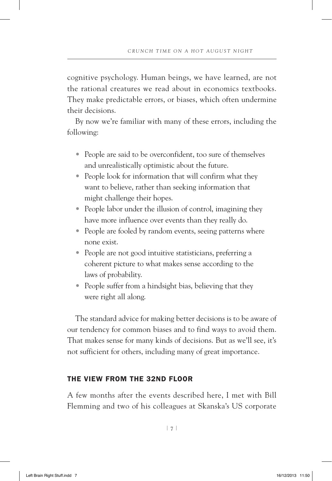cognitive psychology. Human beings, we have learned, are not the rational creatures we read about in economics textbooks. They make predictable errors, or biases, which often undermine their decisions.

By now we're familiar with many of these errors, including the following:

- People are said to be overconfident, too sure of themselves and unrealistically optimistic about the future.
- People look for information that will confirm what they want to believe, rather than seeking information that might challenge their hopes.
- People labor under the illusion of control, imagining they have more influence over events than they really do.
- People are fooled by random events, seeing patterns where none exist.
- People are not good intuitive statisticians, preferring a coherent picture to what makes sense according to the laws of probability.
- People suffer from a hindsight bias, believing that they were right all along.

The standard advice for making better decisions is to be aware of our tendency for common biases and to find ways to avoid them. That makes sense for many kinds of decisions. But as we'll see, it's not sufficient for others, including many of great importance.

### The View from the 32nd Floor

A few months after the events described here, I met with Bill Flemming and two of his colleagues at Skanska's US corporate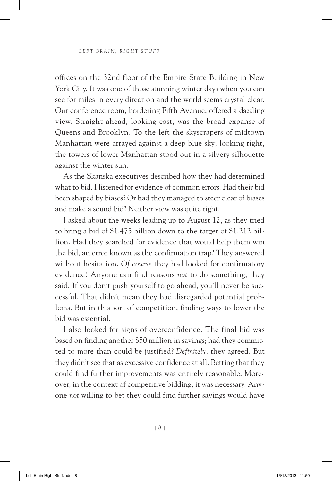offices on the 32nd floor of the Empire State Building in New York City. It was one of those stunning winter days when you can see for miles in every direction and the world seems crystal clear. Our conference room, bordering Fifth Avenue, offered a dazzling view. Straight ahead, looking east, was the broad expanse of Queens and Brooklyn. To the left the skyscrapers of midtown Manhattan were arrayed against a deep blue sky; looking right, the towers of lower Manhattan stood out in a silvery silhouette against the winter sun.

As the Skanska executives described how they had determined what to bid, I listened for evidence of common errors. Had their bid been shaped by biases? Or had they managed to steer clear of biases and make a sound bid? Neither view was quite right.

I asked about the weeks leading up to August 12, as they tried to bring a bid of \$1.475 billion down to the target of \$1.212 billion. Had they searched for evidence that would help them win the bid, an error known as the confirmation trap? They answered without hesitation. *Of course* they had looked for confirmatory evidence! Anyone can find reasons *not* to do something, they said. If you don't push yourself to go ahead, you'll never be successful. That didn't mean they had disregarded potential problems. But in this sort of competition, finding ways to lower the bid was essential.

I also looked for signs of overconfidence. The final bid was based on finding another \$50 million in savings; had they committed to more than could be justified? *Definitely*, they agreed. But they didn't see that as excessive confidence at all. Betting that they could find further improvements was entirely reasonable. Moreover, in the context of competitive bidding, it was necessary. Anyone *not* willing to bet they could find further savings would have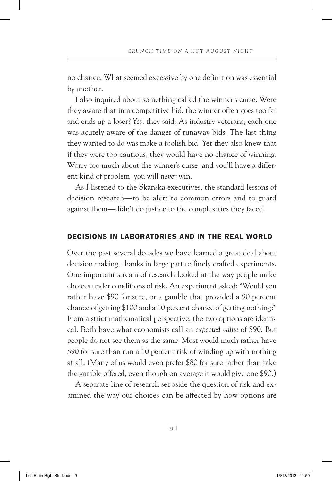no chance. What seemed excessive by one definition was essential by another.

I also inquired about something called the winner's curse. Were they aware that in a competitive bid, the winner often goes too far and ends up a loser? *Yes*, they said. As industry veterans, each one was acutely aware of the danger of runaway bids. The last thing they wanted to do was make a foolish bid. Yet they also knew that if they were too cautious, they would have no chance of winning. Worry too much about the winner's curse, and you'll have a different kind of problem: you will *never* win.

As I listened to the Skanska executives, the standard lessons of decision research—to be alert to common errors and to guard against them—didn't do justice to the complexities they faced.

### Decisions in Laboratories and in the real world

Over the past several decades we have learned a great deal about decision making, thanks in large part to finely crafted experiments. One important stream of research looked at the way people make choices under conditions of risk. An experiment asked: "Would you rather have \$90 for sure, or a gamble that provided a 90 percent chance of getting \$100 and a 10 percent chance of getting nothing?" From a strict mathematical perspective, the two options are identical. Both have what economists call an *expected value* of \$90. But people do not see them as the same. Most would much rather have \$90 for sure than run a 10 percent risk of winding up with nothing at all. (Many of us would even prefer \$80 for sure rather than take the gamble offered, even though on average it would give one \$90.)

A separate line of research set aside the question of risk and examined the way our choices can be affected by how options are